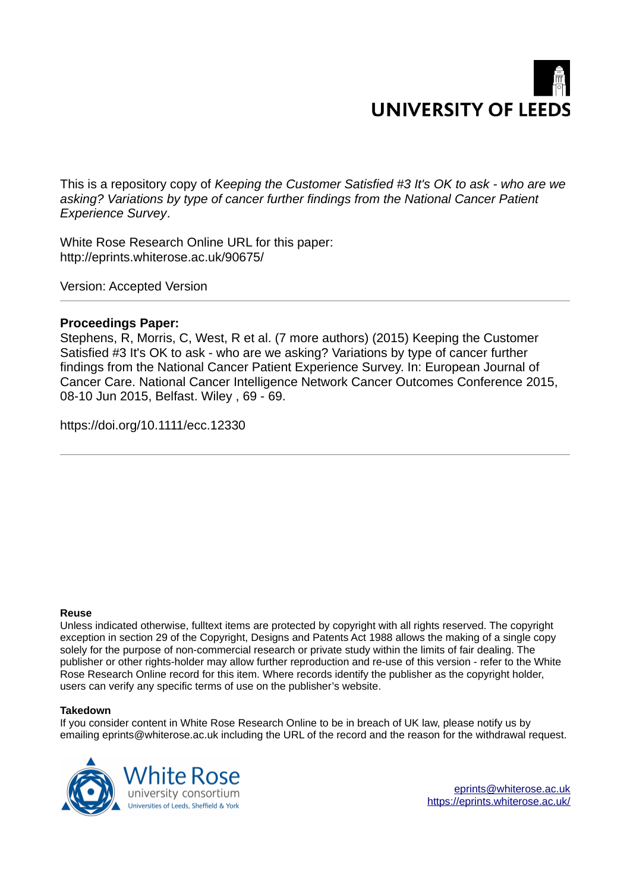

This is a repository copy of *Keeping the Customer Satisfied #3 It's OK to ask - who are we asking? Variations by type of cancer further findings from the National Cancer Patient Experience Survey*.

White Rose Research Online URL for this paper: http://eprints.whiterose.ac.uk/90675/

Version: Accepted Version

## **Proceedings Paper:**

Stephens, R, Morris, C, West, R et al. (7 more authors) (2015) Keeping the Customer Satisfied #3 It's OK to ask - who are we asking? Variations by type of cancer further findings from the National Cancer Patient Experience Survey. In: European Journal of Cancer Care. National Cancer Intelligence Network Cancer Outcomes Conference 2015, 08-10 Jun 2015, Belfast. Wiley , 69 - 69.

https://doi.org/10.1111/ecc.12330

## **Reuse**

Unless indicated otherwise, fulltext items are protected by copyright with all rights reserved. The copyright exception in section 29 of the Copyright, Designs and Patents Act 1988 allows the making of a single copy solely for the purpose of non-commercial research or private study within the limits of fair dealing. The publisher or other rights-holder may allow further reproduction and re-use of this version - refer to the White Rose Research Online record for this item. Where records identify the publisher as the copyright holder, users can verify any specific terms of use on the publisher's website.

## **Takedown**

If you consider content in White Rose Research Online to be in breach of UK law, please notify us by emailing eprints@whiterose.ac.uk including the URL of the record and the reason for the withdrawal request.